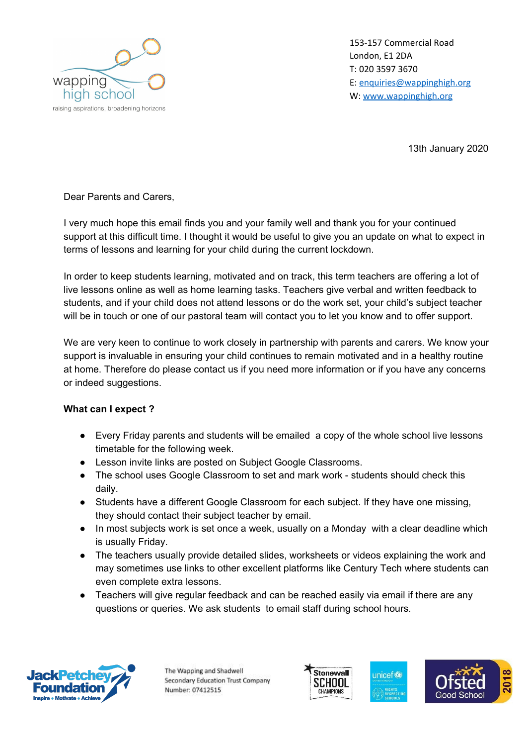

153-157 Commercial Road London, E1 2DA T: 020 3597 3670 E: [enquiries@wappinghigh.org](mailto:enquiries@wappinghigh.org) W: [www.wappinghigh.org](http://www.wappinghigh.org/)

13th January 2020

Dear Parents and Carers,

I very much hope this email finds you and your family well and thank you for your continued support at this difficult time. I thought it would be useful to give you an update on what to expect in terms of lessons and learning for your child during the current lockdown.

In order to keep students learning, motivated and on track, this term teachers are offering a lot of live lessons online as well as home learning tasks. Teachers give verbal and written feedback to students, and if your child does not attend lessons or do the work set, your child's subject teacher will be in touch or one of our pastoral team will contact you to let you know and to offer support.

We are very keen to continue to work closely in partnership with parents and carers. We know your support is invaluable in ensuring your child continues to remain motivated and in a healthy routine at home. Therefore do please contact us if you need more information or if you have any concerns or indeed suggestions.

## **What can I expect ?**

- Every Friday parents and students will be emailed a copy of the whole school live lessons timetable for the following week.
- Lesson invite links are posted on Subject Google Classrooms.
- The school uses Google Classroom to set and mark work students should check this daily.
- Students have a different Google Classroom for each subject. If they have one missing, they should contact their subject teacher by email.
- In most subjects work is set once a week, usually on a Monday with a clear deadline which is usually Friday.
- The teachers usually provide detailed slides, worksheets or videos explaining the work and may sometimes use links to other excellent platforms like Century Tech where students can even complete extra lessons.
- Teachers will give regular feedback and can be reached easily via email if there are any questions or queries. We ask students to email staff during school hours.



The Wapping and Shadwell Secondary Education Trust Company Number: 07412515





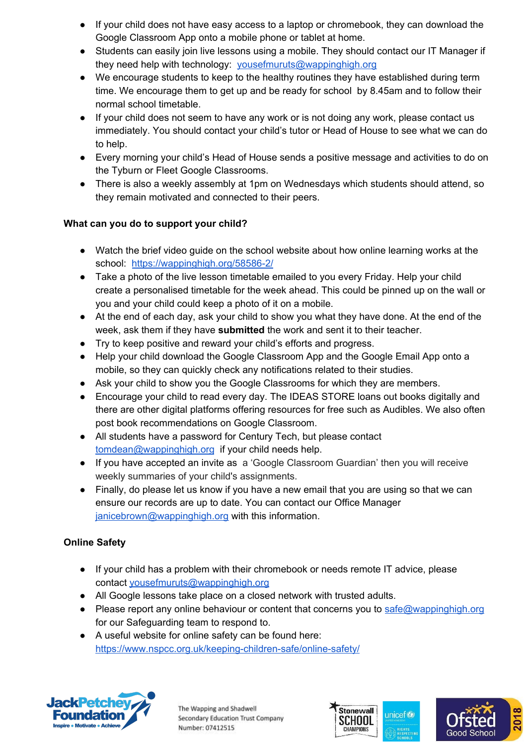- If your child does not have easy access to a laptop or chromebook, they can download the Google Classroom App onto a mobile phone or tablet at home.
- Students can easily join live lessons using a mobile. They should contact our IT Manager if they need help with technology: [yousefmuruts@wappinghigh.org](mailto:yousefmuruts@wappinghigh.org)
- We encourage students to keep to the healthy routines they have established during term time. We encourage them to get up and be ready for school by 8.45am and to follow their normal school timetable.
- If your child does not seem to have any work or is not doing any work, please contact us immediately. You should contact your child's tutor or Head of House to see what we can do to help.
- Every morning your child's Head of House sends a positive message and activities to do on the Tyburn or Fleet Google Classrooms.
- There is also a weekly assembly at 1pm on Wednesdays which students should attend, so they remain motivated and connected to their peers.

## **What can you do to support your child?**

- Watch the brief video guide on the school website about how online learning works at the school: <https://wappinghigh.org/58586-2/>
- Take a photo of the live lesson timetable emailed to you every Friday. Help your child create a personalised timetable for the week ahead. This could be pinned up on the wall or you and your child could keep a photo of it on a mobile.
- At the end of each day, ask your child to show you what they have done. At the end of the week, ask them if they have **submitted** the work and sent it to their teacher.
- Try to keep positive and reward your child's efforts and progress.
- Help your child download the Google Classroom App and the Google Email App onto a mobile, so they can quickly check any notifications related to their studies.
- Ask your child to show you the Google Classrooms for which they are members.
- Encourage your child to read every day. The IDEAS STORE loans out books digitally and there are other digital platforms offering resources for free such as Audibles. We also often post book recommendations on Google Classroom.
- All students have a password for Century Tech, but please contact [tomdean@wappinghigh.org](mailto:tomdean@wappinghigh.org) if your child needs help.
- If you have accepted an invite as a 'Google Classroom Guardian' then you will receive weekly summaries of your child's assignments.
- Finally, do please let us know if you have a new email that you are using so that we can ensure our records are up to date. You can contact our Office Manager [janicebrown@wappinghigh.org](mailto:janicebrown@wappinghigh.org) with this information.

## **Online Safety**

- If your child has a problem with their chromebook or needs remote IT advice, please contact [yousefmuruts@wappinghigh.org](mailto:yousefmuruts@wappinghigh.org)
- All Google lessons take place on a closed network with trusted adults.
- Please report any online behaviour or content that concerns you to [safe@wappinghigh.org](mailto:safe@wappinghigh.org) for our Safeguarding team to respond to.
- A useful website for online safety can be found here: <https://www.nspcc.org.uk/keeping-children-safe/online-safety/>